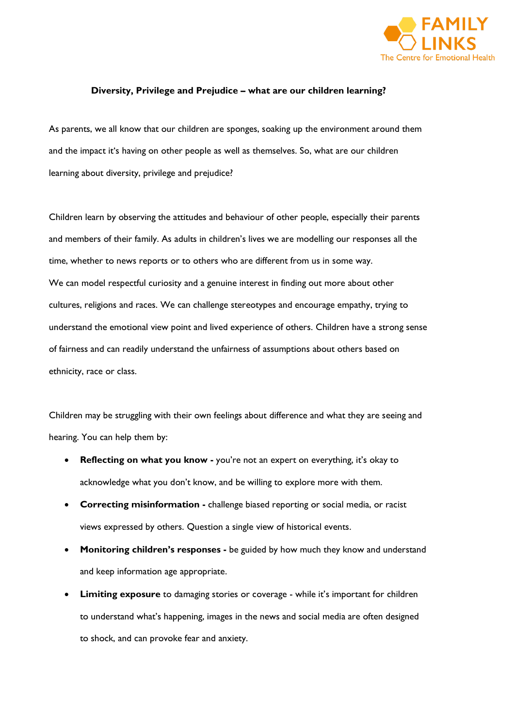

## **Diversity, Privilege and Prejudice – what are our children learning?**

As parents, we all know that our children are sponges, soaking up the environment around them and the impact it's having on other people as well as themselves. So, what are our children learning about diversity, privilege and prejudice?

Children learn by observing the attitudes and behaviour of other people, especially their parents and members of their family. As adults in children's lives we are modelling our responses all the time, whether to news reports or to others who are different from us in some way. We can model respectful curiosity and a genuine interest in finding out more about other cultures, religions and races. We can challenge stereotypes and encourage empathy, trying to understand the emotional view point and lived experience of others. Children have a strong sense of fairness and can readily understand the unfairness of assumptions about others based on ethnicity, race or class.

Children may be struggling with their own feelings about difference and what they are seeing and hearing. You can help them by:

- **Reflecting on what you know -** you're not an expert on everything, it's okay to acknowledge what you don't know, and be willing to explore more with them.
- **Correcting misinformation -** challenge biased reporting or social media, or racist views expressed by others. Question a single view of historical events.
- **Monitoring children's responses -** be guided by how much they know and understand and keep information age appropriate.
- **Limiting exposure** to damaging stories or coverage while it's important for children to understand what's happening, images in the news and social media are often designed to shock, and can provoke fear and anxiety.